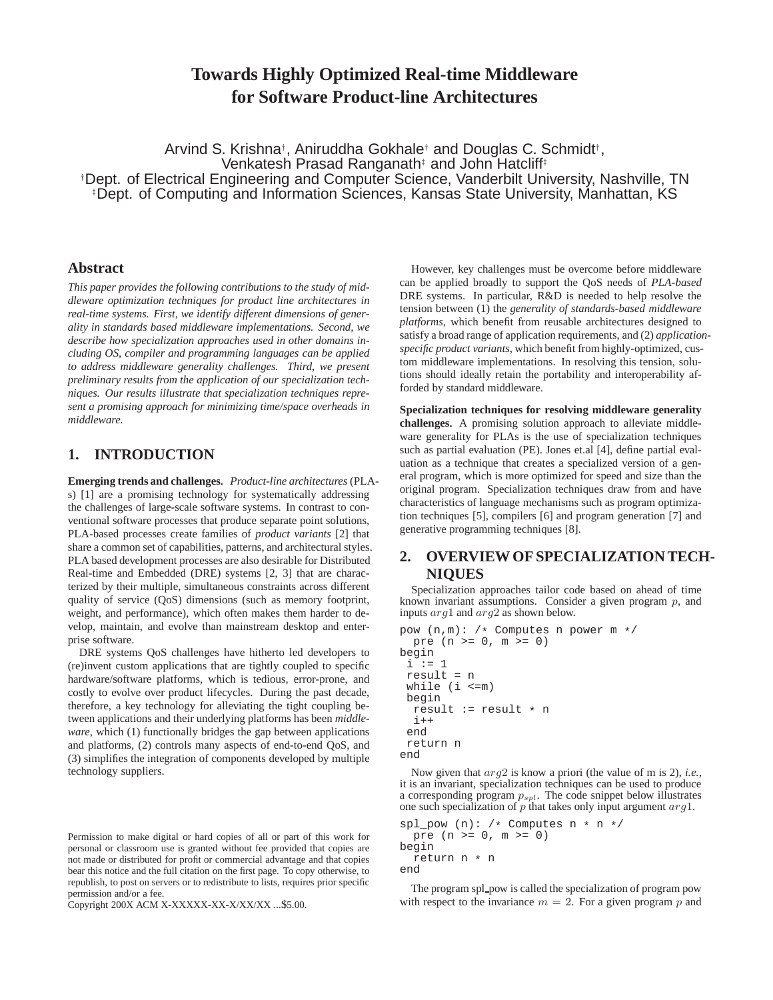# **Towards Highly Optimized Real-time Middleware for Software Product-line Architectures**

Arvind S. Krishna<sup>†</sup>, Aniruddha Gokhale<sup>†</sup> and Douglas C. Schmidt<sup>†</sup>, Venkatesh Prasad Ranganath<sup>‡</sup> and John Hatcliff<sup>‡</sup> †Dept. of Electrical Engineering and Computer Science, Vanderbilt University, Nashville, TN ‡Dept. of Computing and Information Sciences, Kansas State University, Manhattan, KS

#### **Abstract**

*This paper provides the following contributions to the study of middleware optimization techniques for product line architectures in real-time systems. First, we identify different dimensions of generality in standards based middleware implementations. Second, we describe how specialization approaches used in other domains including OS, compiler and programming languages can be applied to address middleware generality challenges. Third, we present preliminary results from the application of our specialization techniques. Our results illustrate that specialization techniques represent a promising approach for minimizing time/space overheads in middleware.*

# **1. INTRODUCTION**

**Emerging trends and challenges***. Product-line architectures* (PLAs) [1] are a promising technology for systematically addressing the challenges of large-scale software systems. In contrast to conventional software processes that produce separate point solutions, PLA-based processes create families of *product variants* [2] that share a common set of capabilities, patterns, and architectural styles. PLA based development processes are also desirable for Distributed Real-time and Embedded (DRE) systems [2, 3] that are characterized by their multiple, simultaneous constraints across different quality of service (QoS) dimensions (such as memory footprint, weight, and performance), which often makes them harder to develop, maintain, and evolve than mainstream desktop and enterprise software.

DRE systems QoS challenges have hitherto led developers to (re)invent custom applications that are tightly coupled to specific hardware/software platforms, which is tedious, error-prone, and costly to evolve over product lifecycles. During the past decade, therefore, a key technology for alleviating the tight coupling between applications and their underlying platforms has been *middleware*, which (1) functionally bridges the gap between applications and platforms, (2) controls many aspects of end-to-end QoS, and (3) simplifies the integration of components developed by multiple technology suppliers.

Copyright 200X ACM X-XXXXX-XX-X/XX/XX ...\$5.00.

However, key challenges must be overcome before middleware can be applied broadly to support the QoS needs of *PLA-based* DRE systems. In particular, R&D is needed to help resolve the tension between (1) the *generality of standards-based middleware platforms*, which benefit from reusable architectures designed to satisfy a broad range of application requirements, and (2) *applicationspecific product variants*, which benefit from highly-optimized, custom middleware implementations. In resolving this tension, solutions should ideally retain the portability and interoperability afforded by standard middleware.

**Specialization techniques for resolving middleware generality challenges***.* A promising solution approach to alleviate middleware generality for PLAs is the use of specialization techniques such as partial evaluation (PE). Jones et.al [4], define partial evaluation as a technique that creates a specialized version of a general program, which is more optimized for speed and size than the original program. Specialization techniques draw from and have characteristics of language mechanisms such as program optimization techniques [5], compilers [6] and program generation [7] and generative programming techniques [8].

# **2. OVERVIEW OF SPECIALIZATION TECH-NIQUES**

Specialization approaches tailor code based on ahead of time known invariant assumptions. Consider a given program  $p$ , and inputs arg1 and arg2 as shown below.

```
pow (n,m): /* Computes n power m */
  pre (n >= 0, m >= 0)
begin
 i : i = 1result = n
 while (i < = m)begin
  result := result * n
  \mathbf{i}++
 end
return n
end
```
Now given that arg2 is know a priori (the value of m is 2), *i.e.*, it is an invariant, specialization techniques can be used to produce a corresponding program  $p_{spl}$ . The code snippet below illustrates one such specialization of  $p$  that takes only input argument  $arg1$ .

```
spl_pow (n): /* Computes n * n */
 pre (n >= 0, m >= 0)
begin
  return n * n
end
```
The program spl\_pow is called the specialization of program pow with respect to the invariance  $m = 2$ . For a given program p and

Permission to make digital or hard copies of all or part of this work for personal or classroom use is granted without fee provided that copies are not made or distributed for profit or commercial advantage and that copies bear this notice and the full citation on the first page. To copy otherwise, to republish, to post on servers or to redistribute to lists, requires prior specific permission and/or a fee.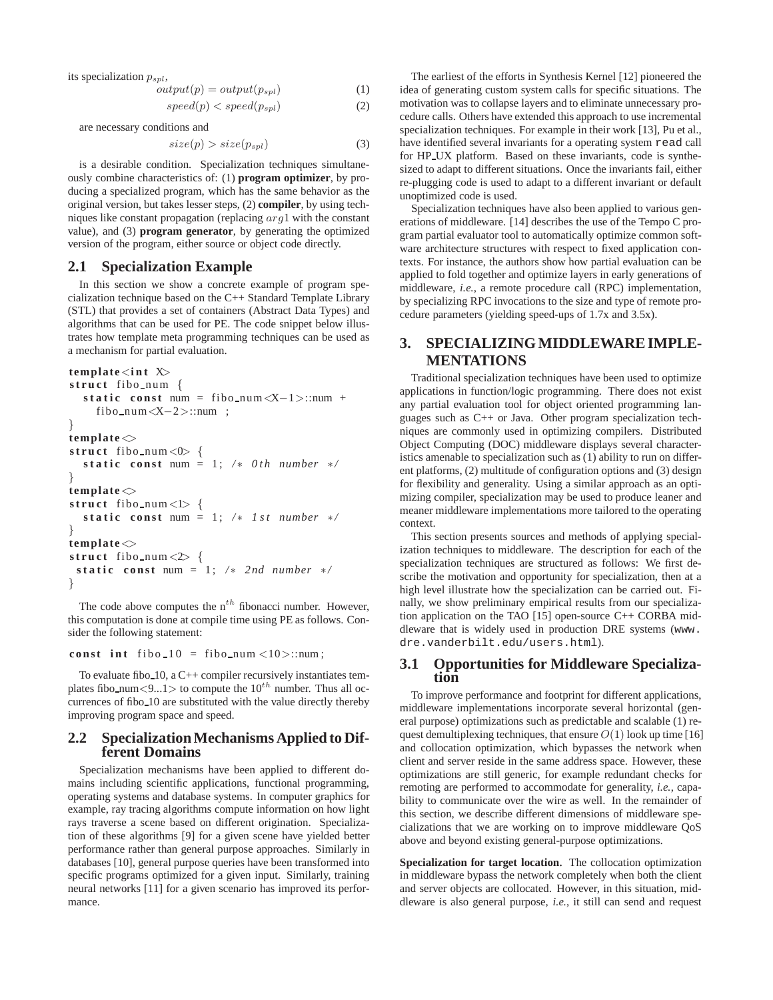its specialization  $p_{spl}$ ,

$$
output(p) = output(p_{spl})
$$
\n(1)

$$
speed(p) < speed(p_{spl}) \tag{2}
$$

are necessary conditions and

$$
size(p) > size(p_{spl})
$$
\n(3)

is a desirable condition. Specialization techniques simultaneously combine characteristics of: (1) **program optimizer**, by producing a specialized program, which has the same behavior as the original version, but takes lesser steps, (2) **compiler**, by using techniques like constant propagation (replacing arg1 with the constant value), and (3) **program generator**, by generating the optimized version of the program, either source or object code directly.

#### **2.1 Specialization Example**

In this section we show a concrete example of program specialization technique based on the C++ Standard Template Library (STL) that provides a set of containers (Abstract Data Types) and algorithms that can be used for PE. The code snippet below illustrates how template meta programming techniques can be used as a mechanism for partial evaluation.

```
template<int X>
struct fibo_num {
  static const num = fibo_num \langle X-1\rangle::num +
    fibo num<X−2>::num ;
}
template\Diamondstruct fibo num < 0 {
  static const num = 1; /* 0th number */}
template\Diamondstruct fibo num <1> {
  static const num = 1; /* 1st number */}
template\Diamondstruct fibo num < 2 {
 static const num = 1; /* 2nd number */}
```
The code above computes the  $n^{th}$  fibonacci number. However, this computation is done at compile time using PE as follows. Consider the following statement:

#### const int fibo  $10 =$  fibo num  $\langle 10 \rangle$ ::num;

To evaluate fibo 10, a C++ compiler recursively instantiates templates fibo\_num<9...1> to compute the  $10^{th}$  number. Thus all occurrences of fibo 10 are substituted with the value directly thereby improving program space and speed.

### **2.2 Specialization Mechanisms Applied to Different Domains**

Specialization mechanisms have been applied to different domains including scientific applications, functional programming, operating systems and database systems. In computer graphics for example, ray tracing algorithms compute information on how light rays traverse a scene based on different origination. Specialization of these algorithms [9] for a given scene have yielded better performance rather than general purpose approaches. Similarly in databases [10], general purpose queries have been transformed into specific programs optimized for a given input. Similarly, training neural networks [11] for a given scenario has improved its performance.

The earliest of the efforts in Synthesis Kernel [12] pioneered the idea of generating custom system calls for specific situations. The motivation was to collapse layers and to eliminate unnecessary procedure calls. Others have extended this approach to use incremental specialization techniques. For example in their work [13], Pu et al., have identified several invariants for a operating system read call for HP UX platform. Based on these invariants, code is synthesized to adapt to different situations. Once the invariants fail, either re-plugging code is used to adapt to a different invariant or default unoptimized code is used.

Specialization techniques have also been applied to various generations of middleware. [14] describes the use of the Tempo C program partial evaluator tool to automatically optimize common software architecture structures with respect to fixed application contexts. For instance, the authors show how partial evaluation can be applied to fold together and optimize layers in early generations of middleware, *i.e.*, a remote procedure call (RPC) implementation, by specializing RPC invocations to the size and type of remote procedure parameters (yielding speed-ups of 1.7x and 3.5x).

# **3. SPECIALIZING MIDDLEWARE IMPLE-MENTATIONS**

Traditional specialization techniques have been used to optimize applications in function/logic programming. There does not exist any partial evaluation tool for object oriented programming languages such as C++ or Java. Other program specialization techniques are commonly used in optimizing compilers. Distributed Object Computing (DOC) middleware displays several characteristics amenable to specialization such as (1) ability to run on different platforms, (2) multitude of configuration options and (3) design for flexibility and generality. Using a similar approach as an optimizing compiler, specialization may be used to produce leaner and meaner middleware implementations more tailored to the operating context.

This section presents sources and methods of applying specialization techniques to middleware. The description for each of the specialization techniques are structured as follows: We first describe the motivation and opportunity for specialization, then at a high level illustrate how the specialization can be carried out. Finally, we show preliminary empirical results from our specialization application on the TAO [15] open-source C++ CORBA middleware that is widely used in production DRE systems (www. dre.vanderbilt.edu/users.html).

#### **3.1 Opportunities for Middleware Specialization**

To improve performance and footprint for different applications, middleware implementations incorporate several horizontal (general purpose) optimizations such as predictable and scalable (1) request demultiplexing techniques, that ensure  $O(1)$  look up time [16] and collocation optimization, which bypasses the network when client and server reside in the same address space. However, these optimizations are still generic, for example redundant checks for remoting are performed to accommodate for generality, *i.e.*, capability to communicate over the wire as well. In the remainder of this section, we describe different dimensions of middleware specializations that we are working on to improve middleware QoS above and beyond existing general-purpose optimizations.

**Specialization for target location***.* The collocation optimization in middleware bypass the network completely when both the client and server objects are collocated. However, in this situation, middleware is also general purpose, *i.e.*, it still can send and request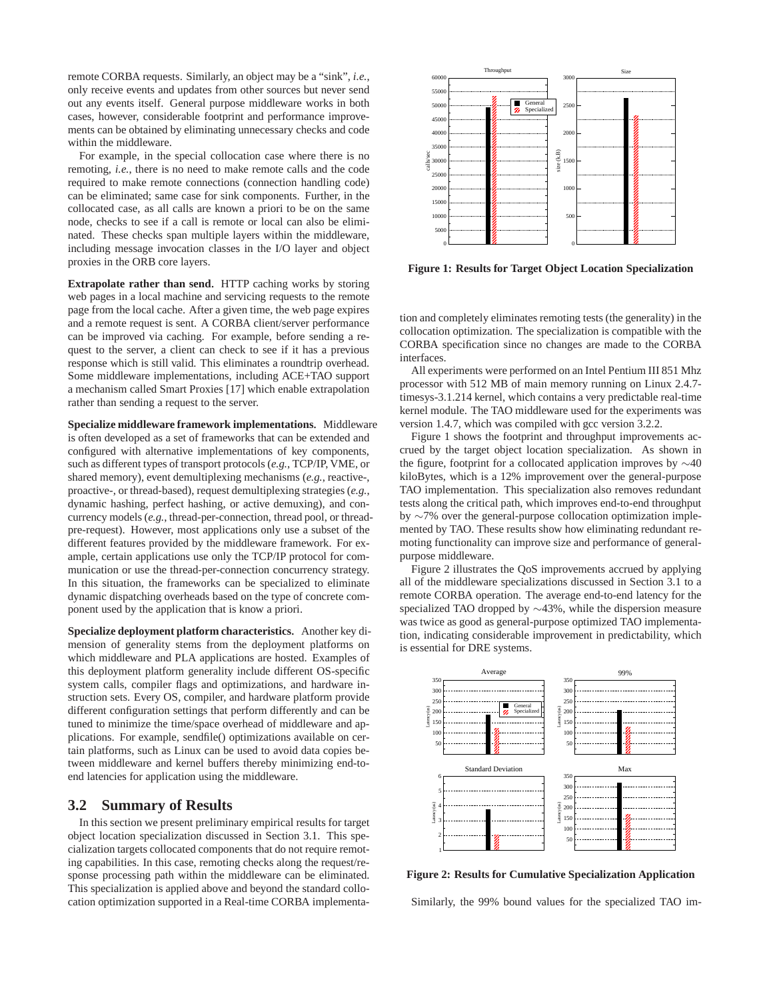remote CORBA requests. Similarly, an object may be a "sink", *i.e.*, only receive events and updates from other sources but never send out any events itself. General purpose middleware works in both cases, however, considerable footprint and performance improvements can be obtained by eliminating unnecessary checks and code within the middleware.

For example, in the special collocation case where there is no remoting, *i.e.*, there is no need to make remote calls and the code required to make remote connections (connection handling code) can be eliminated; same case for sink components. Further, in the collocated case, as all calls are known a priori to be on the same node, checks to see if a call is remote or local can also be eliminated. These checks span multiple layers within the middleware, including message invocation classes in the I/O layer and object proxies in the ORB core layers.

**Extrapolate rather than send***.* HTTP caching works by storing web pages in a local machine and servicing requests to the remote page from the local cache. After a given time, the web page expires and a remote request is sent. A CORBA client/server performance can be improved via caching. For example, before sending a request to the server, a client can check to see if it has a previous response which is still valid. This eliminates a roundtrip overhead. Some middleware implementations, including ACE+TAO support a mechanism called Smart Proxies [17] which enable extrapolation rather than sending a request to the server.

**Specialize middleware framework implementations***.* Middleware is often developed as a set of frameworks that can be extended and configured with alternative implementations of key components, such as different types of transport protocols (*e.g.*, TCP/IP, VME, or shared memory), event demultiplexing mechanisms (*e.g.*, reactive-, proactive-, or thread-based), request demultiplexing strategies (*e.g.*, dynamic hashing, perfect hashing, or active demuxing), and concurrency models (*e.g.*, thread-per-connection, thread pool, or threadpre-request). However, most applications only use a subset of the different features provided by the middleware framework. For example, certain applications use only the TCP/IP protocol for communication or use the thread-per-connection concurrency strategy. In this situation, the frameworks can be specialized to eliminate dynamic dispatching overheads based on the type of concrete component used by the application that is know a priori.

**Specialize deployment platform characteristics***.* Another key dimension of generality stems from the deployment platforms on which middleware and PLA applications are hosted. Examples of this deployment platform generality include different OS-specific system calls, compiler flags and optimizations, and hardware instruction sets. Every OS, compiler, and hardware platform provide different configuration settings that perform differently and can be tuned to minimize the time/space overhead of middleware and applications. For example, sendfile() optimizations available on certain platforms, such as Linux can be used to avoid data copies between middleware and kernel buffers thereby minimizing end-toend latencies for application using the middleware.

### **3.2 Summary of Results**

In this section we present preliminary empirical results for target object location specialization discussed in Section 3.1. This specialization targets collocated components that do not require remoting capabilities. In this case, remoting checks along the request/response processing path within the middleware can be eliminated. This specialization is applied above and beyond the standard collocation optimization supported in a Real-time CORBA implementa-



**Figure 1: Results for Target Object Location Specialization**

tion and completely eliminates remoting tests (the generality) in the collocation optimization. The specialization is compatible with the CORBA specification since no changes are made to the CORBA interfaces.

All experiments were performed on an Intel Pentium III 851 Mhz processor with 512 MB of main memory running on Linux 2.4.7 timesys-3.1.214 kernel, which contains a very predictable real-time kernel module. The TAO middleware used for the experiments was version 1.4.7, which was compiled with gcc version 3.2.2.

Figure 1 shows the footprint and throughput improvements accrued by the target object location specialization. As shown in the figure, footprint for a collocated application improves by ∼40 kiloBytes, which is a 12% improvement over the general-purpose TAO implementation. This specialization also removes redundant tests along the critical path, which improves end-to-end throughput by ∼7% over the general-purpose collocation optimization implemented by TAO. These results show how eliminating redundant remoting functionality can improve size and performance of generalpurpose middleware.

Figure 2 illustrates the QoS improvements accrued by applying all of the middleware specializations discussed in Section 3.1 to a remote CORBA operation. The average end-to-end latency for the specialized TAO dropped by ∼43%, while the dispersion measure was twice as good as general-purpose optimized TAO implementation, indicating considerable improvement in predictability, which is essential for DRE systems.



**Figure 2: Results for Cumulative Specialization Application**

Similarly, the 99% bound values for the specialized TAO im-